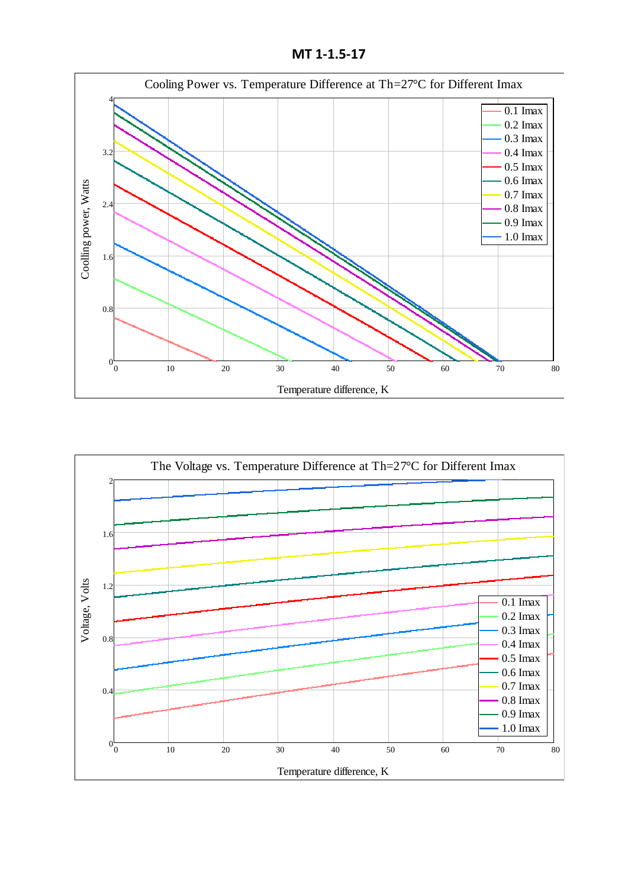**MT 1-1.5-17**